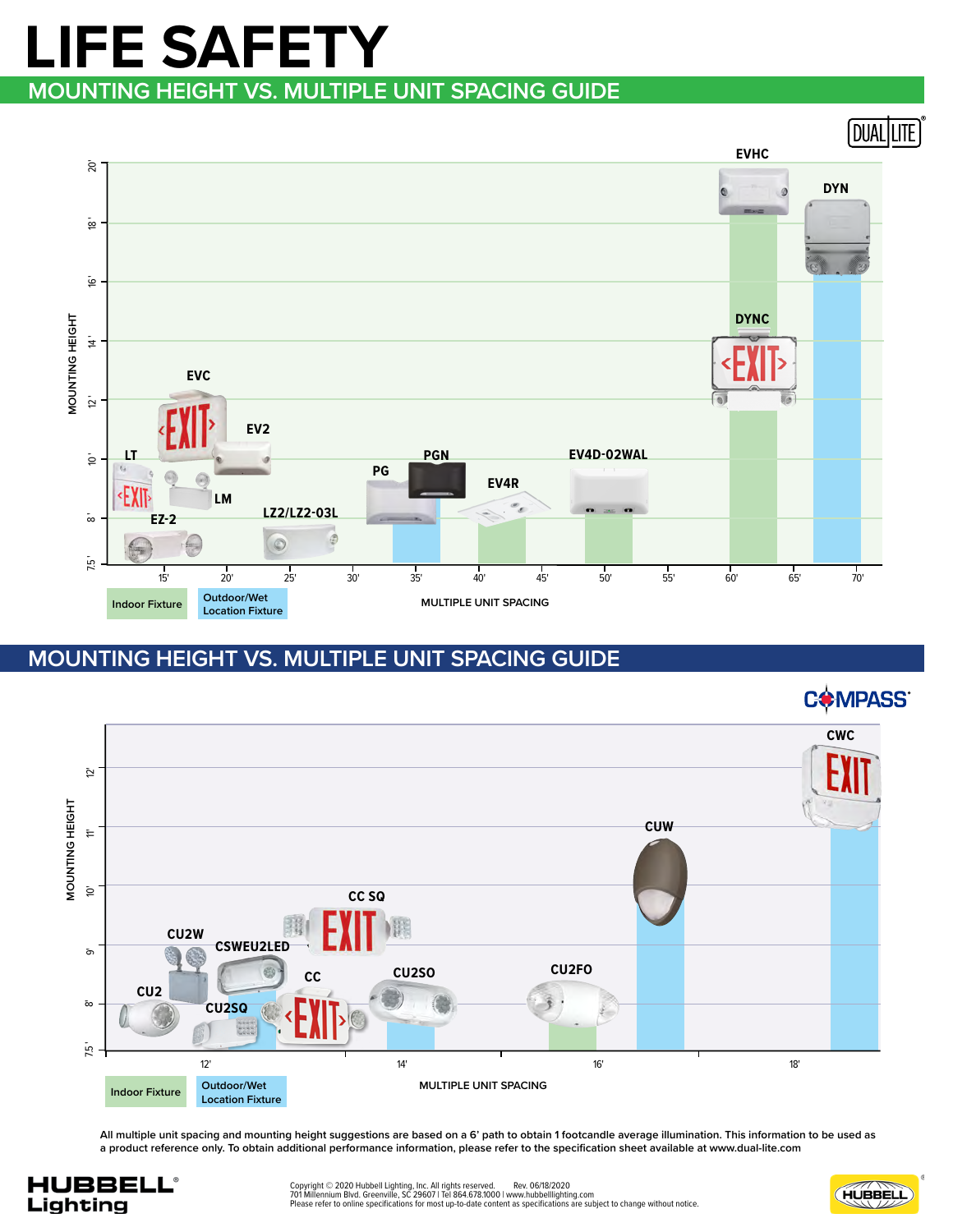## **MOUNTING HEIGHT VS. MULTIPLE UNIT SPACING GUIDE LIFE SAFETY**





**All multiple unit spacing and mounting height suggestions are based on a 6' path to obtain 1 footcandle average illumination. This information to be used as a product reference only. To obtain additional performance information, please refer to the specification sheet available at www.dual-lite.com**





C<sup>\*</sup>MPASS®